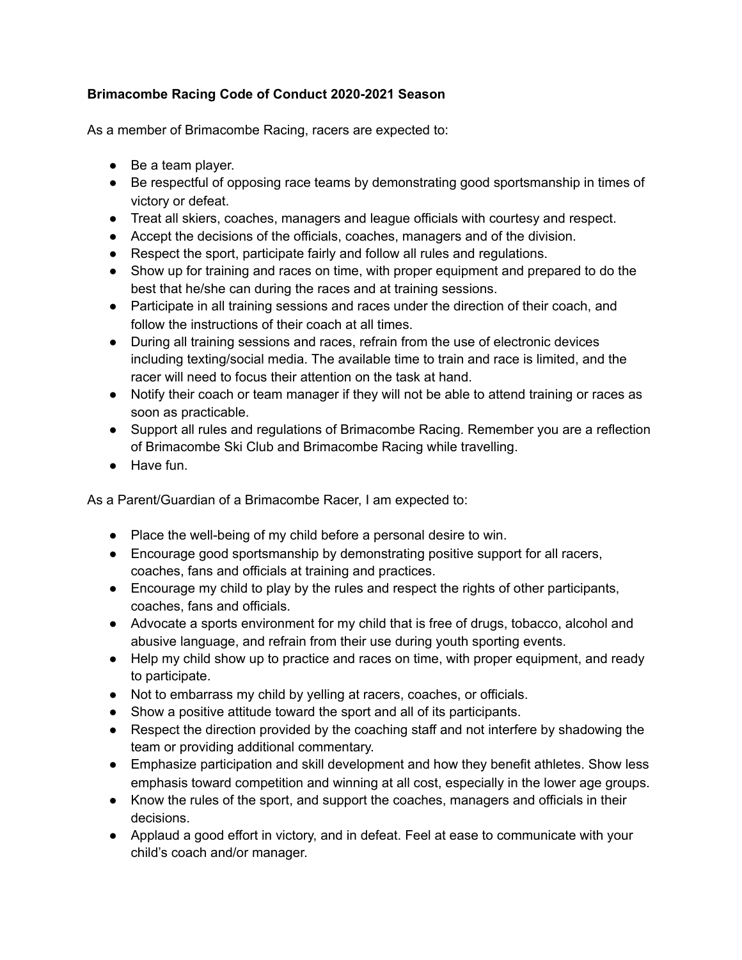## **Brimacombe Racing Code of Conduct 2020-2021 Season**

As a member of Brimacombe Racing, racers are expected to:

- Be a team player.
- Be respectful of opposing race teams by demonstrating good sportsmanship in times of victory or defeat.
- Treat all skiers, coaches, managers and league officials with courtesy and respect.
- Accept the decisions of the officials, coaches, managers and of the division.
- Respect the sport, participate fairly and follow all rules and regulations.
- Show up for training and races on time, with proper equipment and prepared to do the best that he/she can during the races and at training sessions.
- Participate in all training sessions and races under the direction of their coach, and follow the instructions of their coach at all times.
- During all training sessions and races, refrain from the use of electronic devices including texting/social media. The available time to train and race is limited, and the racer will need to focus their attention on the task at hand.
- Notify their coach or team manager if they will not be able to attend training or races as soon as practicable.
- Support all rules and regulations of Brimacombe Racing. Remember you are a reflection of Brimacombe Ski Club and Brimacombe Racing while travelling.
- Have fun.

As a Parent/Guardian of a Brimacombe Racer, I am expected to:

- Place the well-being of my child before a personal desire to win.
- Encourage good sportsmanship by demonstrating positive support for all racers, coaches, fans and officials at training and practices.
- Encourage my child to play by the rules and respect the rights of other participants, coaches, fans and officials.
- Advocate a sports environment for my child that is free of drugs, tobacco, alcohol and abusive language, and refrain from their use during youth sporting events.
- Help my child show up to practice and races on time, with proper equipment, and ready to participate.
- Not to embarrass my child by yelling at racers, coaches, or officials.
- Show a positive attitude toward the sport and all of its participants.
- Respect the direction provided by the coaching staff and not interfere by shadowing the team or providing additional commentary.
- Emphasize participation and skill development and how they benefit athletes. Show less emphasis toward competition and winning at all cost, especially in the lower age groups.
- Know the rules of the sport, and support the coaches, managers and officials in their decisions.
- Applaud a good effort in victory, and in defeat. Feel at ease to communicate with your child's coach and/or manager.